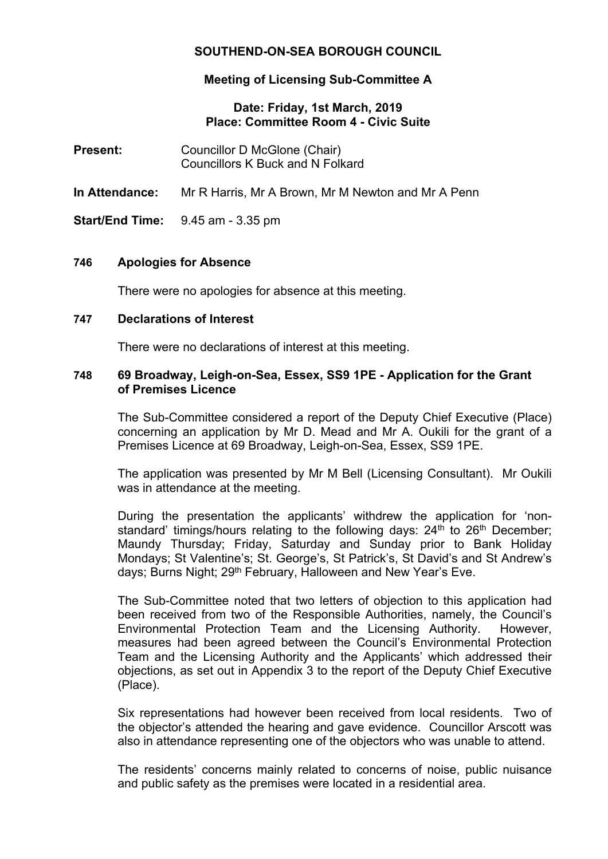# **SOUTHEND-ON-SEA BOROUGH COUNCIL**

# **Meeting of Licensing Sub-Committee A**

### **Date: Friday, 1st March, 2019 Place: Committee Room 4 - Civic Suite**

| <b>Present:</b>       | Councillor D McGlone (Chair)<br><b>Councillors K Buck and N Folkard</b> |
|-----------------------|-------------------------------------------------------------------------|
| <b>In Attendance:</b> | Mr R Harris, Mr A Brown, Mr M Newton and Mr A Penn                      |
|                       | <b>Start/End Time:</b> $9.45$ am $-3.35$ pm                             |

### **746 Apologies for Absence**

There were no apologies for absence at this meeting.

### **747 Declarations of Interest**

There were no declarations of interest at this meeting.

### **748 69 Broadway, Leigh-on-Sea, Essex, SS9 1PE - Application for the Grant of Premises Licence**

The Sub-Committee considered a report of the Deputy Chief Executive (Place) concerning an application by Mr D. Mead and Mr A. Oukili for the grant of a Premises Licence at 69 Broadway, Leigh-on-Sea, Essex, SS9 1PE.

The application was presented by Mr M Bell (Licensing Consultant). Mr Oukili was in attendance at the meeting.

During the presentation the applicants' withdrew the application for 'nonstandard' timings/hours relating to the following days:  $24<sup>th</sup>$  to  $26<sup>th</sup>$  December; Maundy Thursday; Friday, Saturday and Sunday prior to Bank Holiday Mondays; St Valentine's; St. George's, St Patrick's, St David's and St Andrew's days; Burns Night; 29<sup>th</sup> February, Halloween and New Year's Eve.

The Sub-Committee noted that two letters of objection to this application had been received from two of the Responsible Authorities, namely, the Council's Environmental Protection Team and the Licensing Authority. However, measures had been agreed between the Council's Environmental Protection Team and the Licensing Authority and the Applicants' which addressed their objections, as set out in Appendix 3 to the report of the Deputy Chief Executive (Place).

Six representations had however been received from local residents. Two of the objector's attended the hearing and gave evidence. Councillor Arscott was also in attendance representing one of the objectors who was unable to attend.

The residents' concerns mainly related to concerns of noise, public nuisance and public safety as the premises were located in a residential area.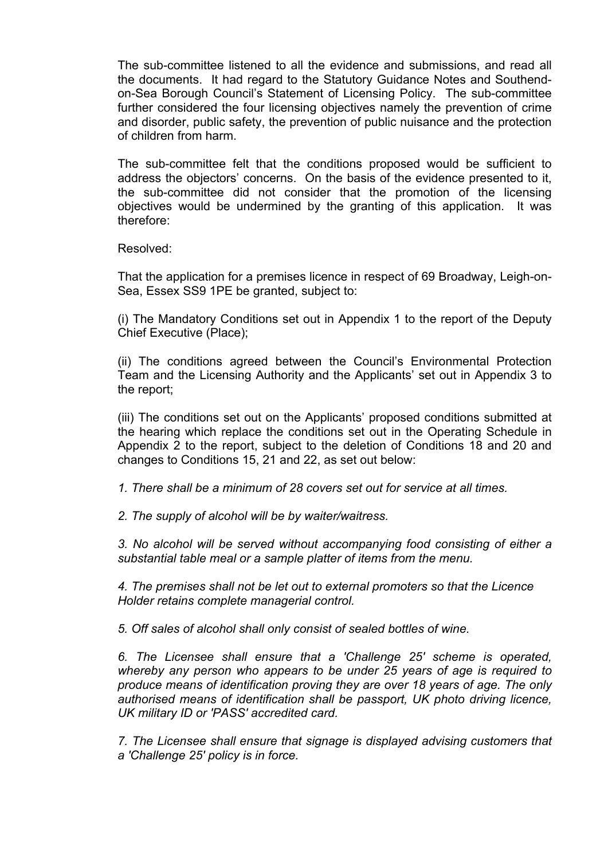The sub-committee listened to all the evidence and submissions, and read all the documents. It had regard to the Statutory Guidance Notes and Southendon-Sea Borough Council's Statement of Licensing Policy. The sub-committee further considered the four licensing objectives namely the prevention of crime and disorder, public safety, the prevention of public nuisance and the protection of children from harm.

The sub-committee felt that the conditions proposed would be sufficient to address the objectors' concerns. On the basis of the evidence presented to it, the sub-committee did not consider that the promotion of the licensing objectives would be undermined by the granting of this application. It was therefore:

Resolved:

That the application for a premises licence in respect of 69 Broadway, Leigh-on-Sea, Essex SS9 1PE be granted, subject to:

(i) The Mandatory Conditions set out in Appendix 1 to the report of the Deputy Chief Executive (Place);

(ii) The conditions agreed between the Council's Environmental Protection Team and the Licensing Authority and the Applicants' set out in Appendix 3 to the report;

(iii) The conditions set out on the Applicants' proposed conditions submitted at the hearing which replace the conditions set out in the Operating Schedule in Appendix 2 to the report, subject to the deletion of Conditions 18 and 20 and changes to Conditions 15, 21 and 22, as set out below:

*1. There shall be a minimum of 28 covers set out for service at all times.*

*2. The supply of alcohol will be by waiter/waitress.*

*3. No alcohol will be served without accompanying food consisting of either a substantial table meal or a sample platter of items from the menu.*

*4. The premises shall not be let out to external promoters so that the Licence Holder retains complete managerial control.*

*5. Off sales of alcohol shall only consist of sealed bottles of wine.*

*6. The Licensee shall ensure that a 'Challenge 25' scheme is operated, whereby any person who appears to be under 25 years of age is required to produce means of identification proving they are over 18 years of age. The only authorised means of identification shall be passport, UK photo driving licence, UK military ID or 'PASS' accredited card.*

*7. The Licensee shall ensure that signage is displayed advising customers that a 'Challenge 25' policy is in force.*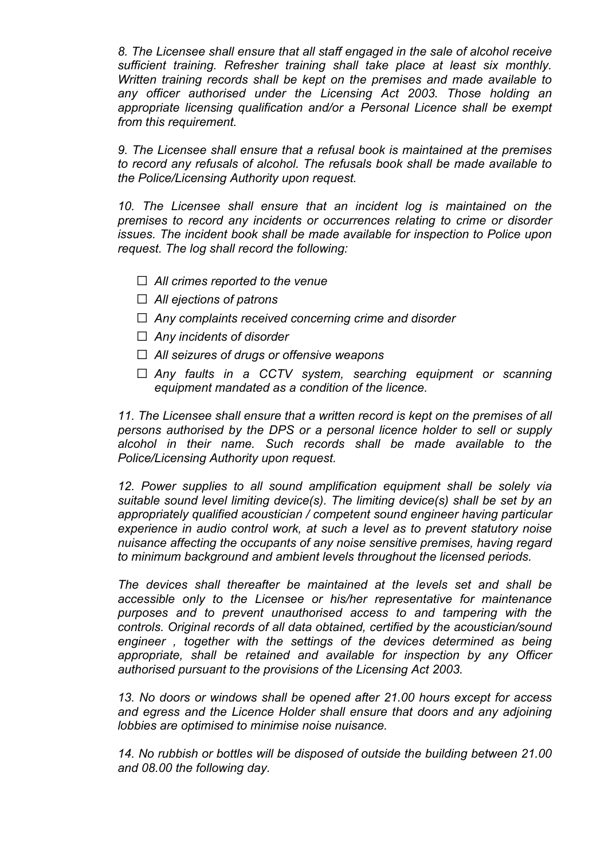*8. The Licensee shall ensure that all staff engaged in the sale of alcohol receive sufficient training. Refresher training shall take place at least six monthly. Written training records shall be kept on the premises and made available to any officer authorised under the Licensing Act 2003. Those holding an appropriate licensing qualification and/or a Personal Licence shall be exempt from this requirement.*

*9. The Licensee shall ensure that a refusal book is maintained at the premises to record any refusals of alcohol. The refusals book shall be made available to the Police/Licensing Authority upon request.*

*10. The Licensee shall ensure that an incident log is maintained on the premises to record any incidents or occurrences relating to crime or disorder issues. The incident book shall be made available for inspection to Police upon request. The log shall record the following:*

- *All crimes reported to the venue*
- *All ejections of patrons*
- *Any complaints received concerning crime and disorder*
- *Any incidents of disorder*
- *All seizures of drugs or offensive weapons*
- *Any faults in a CCTV system, searching equipment or scanning equipment mandated as a condition of the licence.*

*11. The Licensee shall ensure that a written record is kept on the premises of all persons authorised by the DPS or a personal licence holder to sell or supply alcohol in their name. Such records shall be made available to the Police/Licensing Authority upon request.*

*12. Power supplies to all sound amplification equipment shall be solely via suitable sound level limiting device(s). The limiting device(s) shall be set by an appropriately qualified acoustician / competent sound engineer having particular experience in audio control work, at such a level as to prevent statutory noise nuisance affecting the occupants of any noise sensitive premises, having regard to minimum background and ambient levels throughout the licensed periods.*

*The devices shall thereafter be maintained at the levels set and shall be accessible only to the Licensee or his/her representative for maintenance purposes and to prevent unauthorised access to and tampering with the controls. Original records of all data obtained, certified by the acoustician/sound engineer , together with the settings of the devices determined as being appropriate, shall be retained and available for inspection by any Officer authorised pursuant to the provisions of the Licensing Act 2003.*

*13. No doors or windows shall be opened after 21.00 hours except for access and egress and the Licence Holder shall ensure that doors and any adjoining lobbies are optimised to minimise noise nuisance.*

*14. No rubbish or bottles will be disposed of outside the building between 21.00 and 08.00 the following day.*